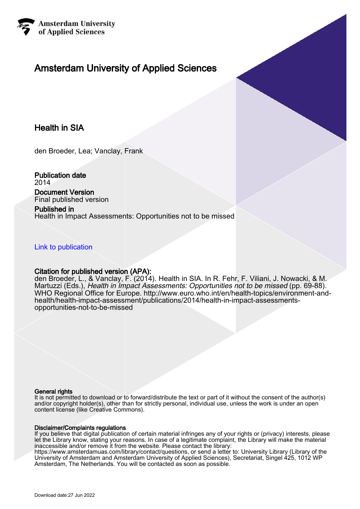

# Amsterdam University of Applied Sciences

# Health in SIA

den Broeder, Lea; Vanclay, Frank

Publication date 2014

Document Version Final published version

Published in Health in Impact Assessments: Opportunities not to be missed

[Link to publication](https://research.hva.nl/en/publications/21ad9d53-0c88-4e7d-9a80-cef396e111ae)

# Citation for published version (APA):

den Broeder, L., & Vanclay, F. (2014). Health in SIA. In R. Fehr, F. Viliani, J. Nowacki, & M. Martuzzi (Eds.), Health in Impact Assessments: Opportunities not to be missed (pp. 69-88). WHO Regional Office for Europe. [http://www.euro.who.int/en/health-topics/environment-and](http://www.euro.who.int/en/health-topics/environment-and-health/health-impact-assessment/publications/2014/health-in-impact-assessments-opportunities-not-to-be-missed)[health/health-impact-assessment/publications/2014/health-in-impact-assessments](http://www.euro.who.int/en/health-topics/environment-and-health/health-impact-assessment/publications/2014/health-in-impact-assessments-opportunities-not-to-be-missed)[opportunities-not-to-be-missed](http://www.euro.who.int/en/health-topics/environment-and-health/health-impact-assessment/publications/2014/health-in-impact-assessments-opportunities-not-to-be-missed)

#### General rights

It is not permitted to download or to forward/distribute the text or part of it without the consent of the author(s) and/or copyright holder(s), other than for strictly personal, individual use, unless the work is under an open content license (like Creative Commons).

#### Disclaimer/Complaints regulations

If you believe that digital publication of certain material infringes any of your rights or (privacy) interests, please let the Library know, stating your reasons. In case of a legitimate complaint, the Library will make the material inaccessible and/or remove it from the website. Please contact the library:

https://www.amsterdamuas.com/library/contact/questions, or send a letter to: University Library (Library of the University of Amsterdam and Amsterdam University of Applied Sciences), Secretariat, Singel 425, 1012 WP Amsterdam, The Netherlands. You will be contacted as soon as possible.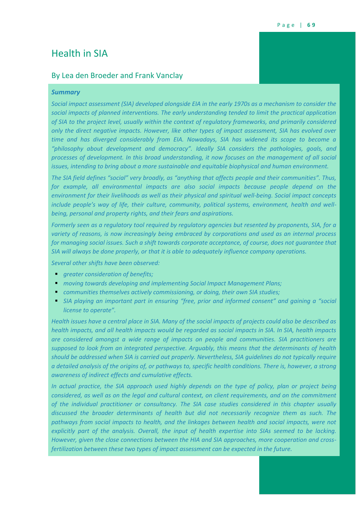# Health in SIA

# By Lea den Broeder and Frank Vanclay

# *Summary*

*Social impact assessment (SIA) developed alongside EIA in the early 1970s as a mechanism to consider the social impacts of planned interventions. The early understanding tended to limit the practical application of SIA to the project level, usually within the context of regulatory frameworks, and primarily considered only the direct negative impacts. However, like other types of impact assessment, SIA has evolved over time and has diverged considerably from EIA. Nowadays, SIA has widened its scope to become a "philosophy about development and democracy". Ideally SIA considers the pathologies, goals, and processes of development. In this broad understanding, it now focuses on the management of all social issues, intending to bring about a more sustainable and equitable biophysical and human environment.*

*The SIA field defines "social" very broadly, as "anything that affects people and their communities". Thus, for example, all environmental impacts are also social impacts because people depend on the environment for their livelihoods as well as their physical and spiritual well-being. Social impact concepts include people's way of life, their culture, community, political systems, environment, health and wellbeing, personal and property rights, and their fears and aspirations.*

*Formerly seen as a regulatory tool required by regulatory agencies but resented by proponents, SIA, for a variety of reasons, is now increasingly being embraced by corporations and used as an internal process for managing social issues. Such a shift towards corporate acceptance, of course, does not guarantee that SIA will always be done properly, or that it is able to adequately influence company operations.*

*Several other shifts have been observed:* 

- *greater consideration of benefits;*
- *moving towards developing and implementing Social Impact Management Plans;*
- *communities themselves actively commissioning, or doing, their own SIA studies;*
- *SIA playing an important part in ensuring "free, prior and informed consent" and gaining a "social license to operate".*

*Health issues have a central place in SIA. Many of the social impacts of projects could also be described as health impacts, and all health impacts would be regarded as social impacts in SIA. In SIA, health impacts are considered amongst a wide range of impacts on people and communities. SIA practitioners are supposed to look from an integrated perspective. Arguably, this means that the determinants of health should be addressed when SIA is carried out properly. Nevertheless, SIA guidelines do not typically require a detailed analysis of the origins of, or pathways to, specific health conditions. There is, however, a strong awareness of indirect effects and cumulative effects.*

In actual practice, the SIA approach used highly depends on the type of policy, plan or project being *considered, as well as on the legal and cultural context, on client requirements, and on the commitment of the individual practitioner or consultancy. The SIA case studies considered in this chapter usually discussed the broader determinants of health but did not necessarily recognize them as such. The pathways from social impacts to health, and the linkages between health and social impacts, were not explicitly part of the analysis. Overall, the input of health expertise into SIAs seemed to be lacking. However, given the close connections between the HIA and SIA approaches, more cooperation and crossfertilization between these two types of impact assessment can be expected in the future.*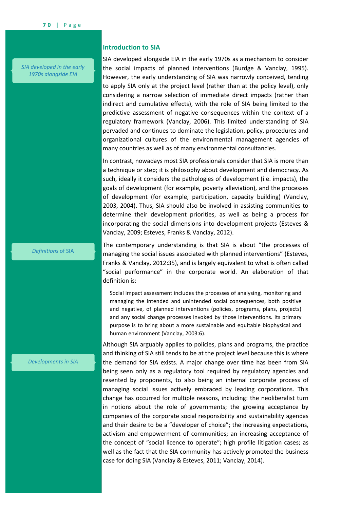*SIA developed in the early 1970s alongside EIA*

## **Introduction to SIA**

SIA developed alongside EIA in the early 1970s as a mechanism to consider the social impacts of planned interventions (Burdge & Vanclay, 1995). However, the early understanding of SIA was narrowly conceived, tending to apply SIA only at the project level (rather than at the policy level), only considering a narrow selection of immediate direct impacts (rather than indirect and cumulative effects), with the role of SIA being limited to the predictive assessment of negative consequences within the context of a regulatory framework (Vanclay, 2006). This limited understanding of SIA pervaded and continues to dominate the legislation, policy, procedures and organizational cultures of the environmental management agencies of many countries as well as of many environmental consultancies.

In contrast, nowadays most SIA professionals consider that SIA is more than a technique or step; it is philosophy about development and democracy. As such, ideally it considers the pathologies of development (i.e. impacts), the goals of development (for example, poverty alleviation), and the processes of development (for example, participation, capacity building) (Vanclay, 2003, 2004). Thus, SIA should also be involved in assisting communities to determine their development priorities, as well as being a process for incorporating the social dimensions into development projects (Esteves & Vanclay, 2009; Esteves, Franks & Vanclay, 2012).

#### *Definitions* of SIA

The contemporary understanding is that SIA is about "the processes of managing the social issues associated with planned interventions" (Esteves, Franks & Vanclay, 2012:35), and is largely equivalent to what is often called "social performance" in the corporate world. An elaboration of that definition is:

Social impact assessment includes the processes of analysing, monitoring and managing the intended and unintended social consequences, both positive and negative, of planned interventions (policies, programs, plans, projects) and any social change processes invoked by those interventions. Its primary purpose is to bring about a more sustainable and equitable biophysical and human environment (Vanclay, 2003:6).

Although SIA arguably applies to policies, plans and programs, the practice and thinking of SIA still tends to be at the project level because this is where the demand for SIA exists. A major change over time has been from SIA being seen only as a regulatory tool required by regulatory agencies and resented by proponents, to also being an internal corporate process of managing social issues actively embraced by leading corporations. This change has occurred for multiple reasons, including: the neoliberalist turn in notions about the role of governments; the growing acceptance by companies of the corporate social responsibility and sustainability agendas and their desire to be a "developer of choice"; the increasing expectations, activism and empowerment of communities; an increasing acceptance of the concept of "social licence to operate"; high profile litigation cases; as well as the fact that the SIA community has actively promoted the business case for doing SIA (Vanclay & Esteves, 2011; Vanclay, 2014).

#### *Developments in SIA*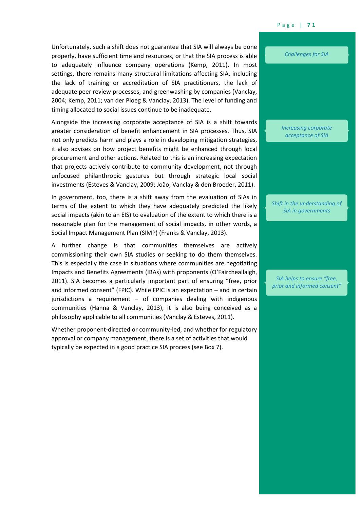Unfortunately, such a shift does not guarantee that SIA will always be done properly, have sufficient time and resources, or that the SIA process is able to adequately influence company operations (Kemp, 2011). In most settings, there remains many structural limitations affecting SIA, including the lack of training or accreditation of SIA practitioners, the lack of adequate peer review processes, and greenwashing by companies (Vanclay, 2004; Kemp, 2011; van der Ploeg & Vanclay, 2013). The level of funding and timing allocated to social issues continue to be inadequate.

Alongside the increasing corporate acceptance of SIA is a shift towards greater consideration of benefit enhancement in SIA processes. Thus, SIA not only predicts harm and plays a role in developing mitigation strategies, it also advises on how project benefits might be enhanced through local procurement and other actions. Related to this is an increasing expectation that projects actively contribute to community development, not through unfocused philanthropic gestures but through strategic local social investments (Esteves & Vanclay, 2009; João, Vanclay & den Broeder, 2011).

In government, too, there is a shift away from the evaluation of SIAs in terms of the extent to which they have adequately predicted the likely social impacts (akin to an EIS) to evaluation of the extent to which there is a reasonable plan for the management of social impacts, in other words, a Social Impact Management Plan (SIMP) (Franks & Vanclay, 2013).

A further change is that communities themselves are actively commissioning their own SIA studies or seeking to do them themselves. This is especially the case in situations where communities are negotiating Impacts and Benefits Agreements (IBAs) with proponents (O'Faircheallaigh, 2011). SIA becomes a particularly important part of ensuring "free, prior and informed consent" (FPIC). While FPIC is an expectation – and in certain jurisdictions a requirement – of companies dealing with indigenous communities (Hanna & Vanclay, 2013), it is also being conceived as a philosophy applicable to all communities (Vanclay & Esteves, 2011).

Whether proponent-directed or community-led, and whether for regulatory approval or company management, there is a set of activities that would typically be expected in a good practice SIA process (see [Box 7\)](#page-4-0).

*Challenges for SIA*

*Increasing corporate acceptance of SIA*

*Shift in the understanding of SIA in governments*

*SIA helps to ensure "free, prior and informed consent"*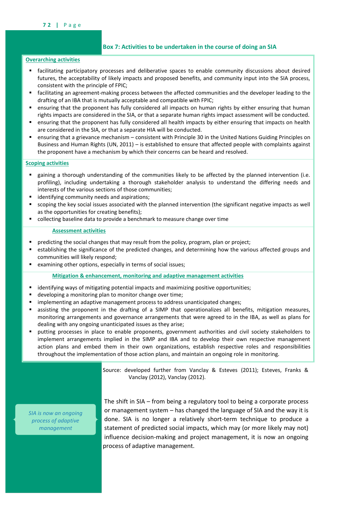# <span id="page-4-0"></span>**Box 7: Activities to be undertaken in the course of doing an SIA**

# **Overarching activities**

- facilitating participatory processes and deliberative spaces to enable community discussions about desired futures, the acceptability of likely impacts and proposed benefits, and community input into the SIA process, consistent with the principle of FPIC;
- facilitating an agreement-making process between the affected communities and the developer leading to the drafting of an IBA that is mutually acceptable and compatible with FPIC;
- ensuring that the proponent has fully considered all impacts on human rights by either ensuring that human rights impacts are considered in the SIA, or that a separate human rights impact assessment will be conducted.
- ensuring that the proponent has fully considered all health impacts by either ensuring that impacts on health are considered in the SIA, or that a separate HIA will be conducted.
- ensuring that a grievance mechanism consistent with Principle 30 in the United Nations Guiding Principles on Business and Human Rights (UN, 2011) – is established to ensure that affected people with complaints against the proponent have a mechanism by which their concerns can be heard and resolved.

# **Scoping activities**

- gaining a thorough understanding of the communities likely to be affected by the planned intervention (i.e. profiling), including undertaking a thorough stakeholder analysis to understand the differing needs and interests of the various sections of those communities;
- identifying community needs and aspirations;
- scoping the key social issues associated with the planned intervention (the significant negative impacts as well as the opportunities for creating benefits);
- collecting baseline data to provide a benchmark to measure change over time

#### **Assessment activities**

- predicting the social changes that may result from the policy, program, plan or project;
- establishing the significance of the predicted changes, and determining how the various affected groups and communities will likely respond;
- examining other options, especially in terms of social issues;

**Mitigation & enhancement, monitoring and adaptive management activities**

- identifying ways of mitigating potential impacts and maximizing positive opportunities;
- developing a monitoring plan to monitor change over time;
- implementing an adaptive management process to address unanticipated changes;
- assisting the proponent in the drafting of a SIMP that operationalizes all benefits, mitigation measures, monitoring arrangements and governance arrangements that were agreed to in the IBA, as well as plans for dealing with any ongoing unanticipated issues as they arise;
- putting processes in place to enable proponents, government authorities and civil society stakeholders to implement arrangements implied in the SIMP and IBA and to develop their own respective management action plans and embed them in their own organizations, establish respective roles and responsibilities throughout the implementation of those action plans, and maintain an ongoing role in monitoring.

Source: developed further from Vanclay & Esteves (2011); Esteves, Franks & Vanclay (2012), Vanclay (2012).

*SIA is now an ongoing process of adaptive management*

The shift in SIA – from being a regulatory tool to being a corporate process or management system – has changed the language of SIA and the way it is done. SIA is no longer a relatively short-term technique to produce a statement of predicted social impacts, which may (or more likely may not) influence decision-making and project management, it is now an ongoing process of adaptive management.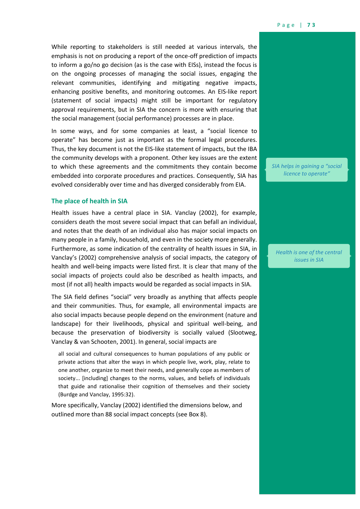While reporting to stakeholders is still needed at various intervals, the emphasis is not on producing a report of the once-off prediction of impacts to inform a go/no go decision (as is the case with EISs), instead the focus is on the ongoing processes of managing the social issues, engaging the relevant communities, identifying and mitigating negative impacts, enhancing positive benefits, and monitoring outcomes. An EIS-like report (statement of social impacts) might still be important for regulatory approval requirements, but in SIA the concern is more with ensuring that the social management (social performance) processes are in place.

In some ways, and for some companies at least, a "social licence to operate" has become just as important as the formal legal procedures. Thus, the key document is not the EIS-like statement of impacts, but the IBA the community develops with a proponent. Other key issues are the extent to which these agreements and the commitments they contain become embedded into corporate procedures and practices. Consequently, SIA has evolved considerably over time and has diverged considerably from EIA.

#### **The place of health in SIA**

Health issues have a central place in SIA. Vanclay (2002), for example, considers death the most severe social impact that can befall an individual, and notes that the death of an individual also has major social impacts on many people in a family, household, and even in the society more generally. Furthermore, as some indication of the centrality of health issues in SIA, in Vanclay's (2002) comprehensive analysis of social impacts, the category of health and well-being impacts were listed first. It is clear that many of the social impacts of projects could also be described as health impacts, and most (if not all) health impacts would be regarded as social impacts in SIA.

The SIA field defines "social" very broadly as anything that affects people and their communities. Thus, for example, all environmental impacts are also social impacts because people depend on the environment (nature and landscape) for their livelihoods, physical and spiritual well-being, and because the preservation of biodiversity is socially valued (Slootweg, Vanclay & van Schooten, 2001). In general, social impacts are

all social and cultural consequences to human populations of any public or private actions that alter the ways in which people live, work, play, relate to one another, organize to meet their needs, and generally cope as members of society... [including] changes to the norms, values, and beliefs of individuals that guide and rationalise their cognition of themselves and their society (Burdge and Vanclay, 1995:32).

More specifically, Vanclay (2002) identified the dimensions below, and outlined more than 88 social impact concepts (see [Box 8\)](#page-6-0).

*SIA helps in gaining a "social licence to operate"*

*Health is one of the central issues in SIA*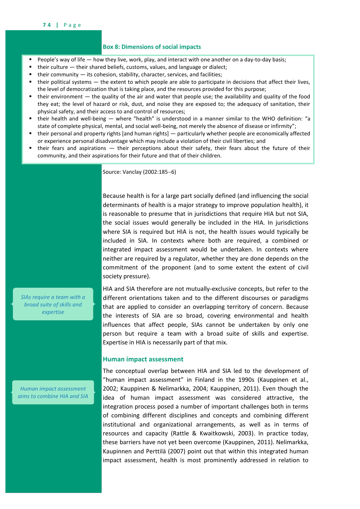#### <span id="page-6-0"></span>**Box 8: Dimensions of social impacts**

- People's way of life how they live, work, play, and interact with one another on a day-to-day basis;
- their culture their shared beliefs, customs, values, and language or dialect;
- their community its cohesion, stability, character, services, and facilities;
- their political systems the extent to which people are able to participate in decisions that affect their lives, the level of democratization that is taking place, and the resources provided for this purpose;
- their environment the quality of the air and water that people use; the availability and quality of the food they eat; the level of hazard or risk, dust, and noise they are exposed to; the adequacy of sanitation, their physical safety, and their access to and control of resources;
- their health and well-being where "health" is understood in a manner similar to the WHO definition: "a state of complete physical, mental, and social well-being, not merely the absence of disease or infirmity";
- their personal and property rights [and human rights] particularly whether people are economically affected or experience personal disadvantage which may include a violation of their civil liberties; and
- their fears and aspirations their perceptions about their safety, their fears about the future of their community, and their aspirations for their future and that of their children.

Source: Vanclay (2002:185-6)

Because health is for a large part socially defined (and influencing the social determinants of health is a major strategy to improve population health), it is reasonable to presume that in jurisdictions that require HIA but not SIA, the social issues would generally be included in the HIA. In jurisdictions where SIA is required but HIA is not, the health issues would typically be included in SIA. In contexts where both are required, a combined or integrated impact assessment would be undertaken. In contexts where neither are required by a regulator, whether they are done depends on the commitment of the proponent (and to some extent the extent of civil society pressure).

*SIAs require a team with a broad suite of skills and expertise*

*Human impact assessment aims to combine HIA and SIA* HIA and SIA therefore are not mutually-exclusive concepts, but refer to the different orientations taken and to the different discourses or paradigms that are applied to consider an overlapping territory of concern. Because the interests of SIA are so broad, covering environmental and health influences that affect people, SIAs cannot be undertaken by only one person but require a team with a broad suite of skills and expertise. Expertise in HIA is necessarily part of that mix.

# **Human impact assessment**

The conceptual overlap between HIA and SIA led to the development of "human impact assessment" in Finland in the 1990s (Kauppinen et al., 2002; Kauppinen & Nelimarkka, 2004; Kauppinen, 2011). Even though the idea of human impact assessment was considered attractive, the integration process posed a number of important challenges both in terms of combining different disciplines and concepts and combining different institutional and organizational arrangements, as well as in terms of resources and capacity (Rattle & Kwaitkowski, 2003). In practice today, these barriers have not yet been overcome (Kauppinen, 2011). Nelimarkka, Kaupinnen and Perttilä (2007) point out that within this integrated human impact assessment, health is most prominently addressed in relation to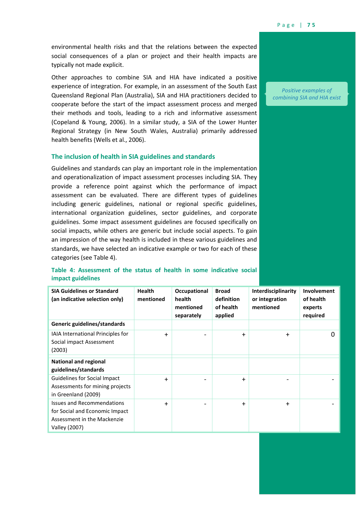environmental health risks and that the relations between the expected social consequences of a plan or project and their health impacts are typically not made explicit.

Other approaches to combine SIA and HIA have indicated a positive experience of integration. For example, in an assessment of the South East Queensland Regional Plan (Australia), SIA and HIA practitioners decided to cooperate before the start of the impact assessment process and merged their methods and tools, leading to a rich and informative assessment (Copeland & Young, 2006). In a similar study, a SIA of the Lower Hunter Regional Strategy (in New South Wales, Australia) primarily addressed health benefits (Wells et al., 2006).

# **The inclusion of health in SIA guidelines and standards**

Guidelines and standards can play an important role in the implementation and operationalization of impact assessment processes including SIA. They provide a reference point against which the performance of impact assessment can be evaluated. There are different types of guidelines including generic guidelines, national or regional specific guidelines, international organization guidelines, sector guidelines, and corporate guidelines. Some impact assessment guidelines are focused specifically on social impacts, while others are generic but include social aspects. To gain an impression of the way health is included in these various guidelines and standards, we have selected an indicative example or two for each of these categories (see [Table 4\)](#page-7-0).

| <b>SIA Guidelines or Standard</b><br>(an indicative selection only)                                                 | <b>Health</b><br>mentioned | Occupational<br>health  | <b>Broad</b><br>definition | Interdisciplinarity<br>or integration | Involvement<br>of health |
|---------------------------------------------------------------------------------------------------------------------|----------------------------|-------------------------|----------------------------|---------------------------------------|--------------------------|
|                                                                                                                     |                            | mentioned<br>separately | of health<br>applied       | mentioned                             | experts<br>required      |
| Generic guidelines/standards                                                                                        |                            |                         |                            |                                       |                          |
| IAIA International Principles for<br>Social impact Assessment<br>(2003)                                             | $\ddag$                    |                         | $\ddag$                    | $\ddag$                               | 0                        |
| <b>National and regional</b><br>guidelines/standards                                                                |                            |                         |                            |                                       |                          |
| Guidelines for Social Impact<br>Assessments for mining projects<br>in Greenland (2009)                              | $\ddot{}$                  |                         | +                          |                                       |                          |
| <b>Issues and Recommendations</b><br>for Social and Economic Impact<br>Assessment in the Mackenzie<br>Valley (2007) | $\ddag$                    |                         | $\ddag$                    | ╇                                     |                          |

# <span id="page-7-0"></span>**Table 4: Assessment of the status of health in some indicative social impact guidelines**

*Positive examples of combining SIA and HIA exist*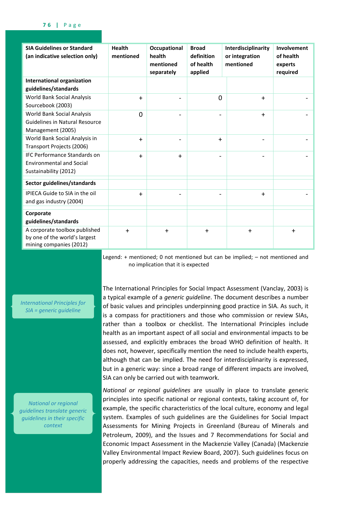| <b>SIA Guidelines or Standard</b><br>(an indicative selection only)                             | <b>Health</b><br>mentioned | Occupational<br>health<br>mentioned<br>separately | <b>Broad</b><br>definition<br>of health<br>applied | Interdisciplinarity<br>or integration<br>mentioned | Involvement<br>of health<br>experts<br>required |
|-------------------------------------------------------------------------------------------------|----------------------------|---------------------------------------------------|----------------------------------------------------|----------------------------------------------------|-------------------------------------------------|
| <b>International organization</b><br>guidelines/standards                                       |                            |                                                   |                                                    |                                                    |                                                 |
| World Bank Social Analysis<br>Sourcebook (2003)                                                 | $+$                        |                                                   | $\overline{0}$                                     | $+$                                                |                                                 |
| World Bank Social Analysis<br><b>Guidelines in Natural Resource</b><br>Management (2005)        | 0                          |                                                   |                                                    | $+$                                                |                                                 |
| World Bank Social Analysis in<br>Transport Projects (2006)                                      | $+$                        |                                                   | $\ddot{}$                                          |                                                    |                                                 |
| <b>IFC Performance Standards on</b><br><b>Environmental and Social</b><br>Sustainability (2012) | $+$                        | $+$                                               |                                                    |                                                    |                                                 |
| Sector guidelines/standards                                                                     |                            |                                                   |                                                    |                                                    |                                                 |
| IPIECA Guide to SIA in the oil<br>and gas industry (2004)                                       | $\ddag$                    |                                                   |                                                    | $\ddot{}$                                          |                                                 |
| Corporate<br>guidelines/standards                                                               |                            |                                                   |                                                    |                                                    |                                                 |
| A corporate toolbox published<br>by one of the world's largest<br>mining companies (2012)       | $+$                        | $+$                                               | $+$                                                | $\ddot{}$                                          | $+$                                             |

Legend: + mentioned; 0 not mentioned but can be implied; – not mentioned and no implication that it is expected

*International Principles for SIA = generic guideline*

*National or regional guidelines translate generic guidelines in their specific context*

The International Principles for Social Impact Assessment (Vanclay, 2003) is a typical example of a *generic guideline*. The document describes a number of basic values and principles underpinning good practice in SIA. As such, it is a compass for practitioners and those who commission or review SIAs, rather than a toolbox or checklist. The International Principles include health as an important aspect of all social and environmental impacts to be assessed, and explicitly embraces the broad WHO definition of health. It does not, however, specifically mention the need to include health experts, although that can be implied. The need for interdisciplinarity is expressed, but in a generic way: since a broad range of different impacts are involved, SIA can only be carried out with teamwork.

*National or regional guidelines* are usually in place to translate generic principles into specific national or regional contexts, taking account of, for example, the specific characteristics of the local culture, economy and legal system. Examples of such guidelines are the Guidelines for Social Impact Assessments for Mining Projects in Greenland (Bureau of Minerals and Petroleum, 2009), and the Issues and 7 Recommendations for Social and Economic Impact Assessment in the Mackenzie Valley (Canada) (Mackenzie Valley Environmental Impact Review Board, 2007). Such guidelines focus on properly addressing the capacities, needs and problems of the respective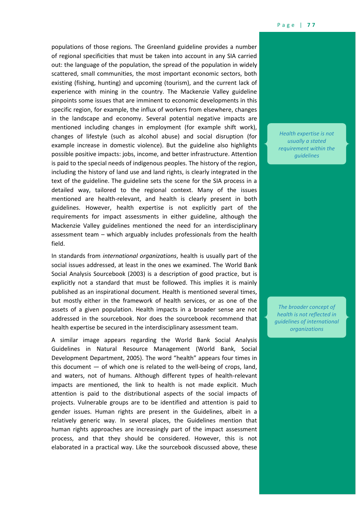populations of those regions. The Greenland guideline provides a number of regional specificities that must be taken into account in any SIA carried out: the language of the population, the spread of the population in widely scattered, small communities, the most important economic sectors, both existing (fishing, hunting) and upcoming (tourism), and the current lack of experience with mining in the country. The Mackenzie Valley guideline pinpoints some issues that are imminent to economic developments in this specific region, for example, the influx of workers from elsewhere, changes in the landscape and economy. Several potential negative impacts are mentioned including changes in employment (for example shift work), changes of lifestyle (such as alcohol abuse) and social disruption (for example increase in domestic violence). But the guideline also highlights possible positive impacts: jobs, income, and better infrastructure. Attention is paid to the special needs of indigenous peoples. The history of the region, including the history of land use and land rights, is clearly integrated in the text of the guideline. The guideline sets the scene for the SIA process in a detailed way, tailored to the regional context. Many of the issues mentioned are health-relevant, and health is clearly present in both guidelines. However, health expertise is not explicitly part of the requirements for impact assessments in either guideline, although the Mackenzie Valley guidelines mentioned the need for an interdisciplinary assessment team – which arguably includes professionals from the health field.

In standards from *international organizations*, health is usually part of the social issues addressed, at least in the ones we examined. The World Bank Social Analysis Sourcebook (2003) is a description of good practice, but is explicitly not a standard that must be followed. This implies it is mainly published as an inspirational document. Health is mentioned several times, but mostly either in the framework of health services, or as one of the assets of a given population. Health impacts in a broader sense are not addressed in the sourcebook. Nor does the sourcebook recommend that health expertise be secured in the interdisciplinary assessment team.

A similar image appears regarding the World Bank Social Analysis Guidelines in Natural Resource Management (World Bank, Social Development Department, 2005). The word "health" appears four times in this document — of which one is related to the well-being of crops, land, and waters, not of humans. Although different types of health-relevant impacts are mentioned, the link to health is not made explicit. Much attention is paid to the distributional aspects of the social impacts of projects. Vulnerable groups are to be identified and attention is paid to gender issues. Human rights are present in the Guidelines, albeit in a relatively generic way. In several places, the Guidelines mention that human rights approaches are increasingly part of the impact assessment process, and that they should be considered. However, this is not elaborated in a practical way. Like the sourcebook discussed above, these

*Health expertise is not usually a stated requirement within the guidelines*

*The broader concept of health is not reflected in guidelines of international organizations*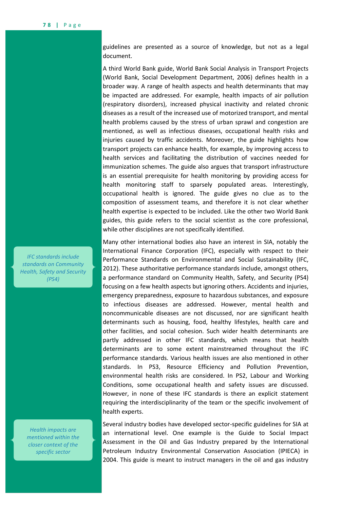guidelines are presented as a source of knowledge, but not as a legal document.

A third World Bank guide, World Bank Social Analysis in Transport Projects (World Bank, Social Development Department, 2006) defines health in a broader way. A range of health aspects and health determinants that may be impacted are addressed. For example, health impacts of air pollution (respiratory disorders), increased physical inactivity and related chronic diseases as a result of the increased use of motorized transport, and mental health problems caused by the stress of urban sprawl and congestion are mentioned, as well as infectious diseases, occupational health risks and injuries caused by traffic accidents. Moreover, the guide highlights how transport projects can enhance health, for example, by improving access to health services and facilitating the distribution of vaccines needed for immunization schemes. The guide also argues that transport infrastructure is an essential prerequisite for health monitoring by providing access for health monitoring staff to sparsely populated areas. Interestingly, occupational health is ignored. The guide gives no clue as to the composition of assessment teams, and therefore it is not clear whether health expertise is expected to be included. Like the other two World Bank guides, this guide refers to the social scientist as the core professional, while other disciplines are not specifically identified.

Many other international bodies also have an interest in SIA, notably the International Finance Corporation (IFC), especially with respect to their Performance Standards on Environmental and Social Sustainability (IFC, 2012). These authoritative performance standards include, amongst others, a performance standard on Community Health, Safety, and Security (PS4) focusing on a few health aspects but ignoring others. Accidents and injuries, emergency preparedness, exposure to hazardous substances, and exposure to infectious diseases are addressed. However, mental health and noncommunicable diseases are not discussed, nor are significant health determinants such as housing, food, healthy lifestyles, health care and other facilities, and social cohesion. Such wider health determinants are partly addressed in other IFC standards, which means that health determinants are to some extent mainstreamed throughout the IFC performance standards. Various health issues are also mentioned in other standards. In PS3, Resource Efficiency and Pollution Prevention, environmental health risks are considered. In PS2, Labour and Working Conditions, some occupational health and safety issues are discussed. However, in none of these IFC standards is there an explicit statement requiring the interdisciplinarity of the team or the specific involvement of health experts.

Several industry bodies have developed sector-specific guidelines for SIA at an international level. One example is the Guide to Social Impact Assessment in the Oil and Gas Industry prepared by the International Petroleum Industry Environmental Conservation Association (IPIECA) in 2004. This guide is meant to instruct managers in the oil and gas industry

*IFC standards include standards on Community Health, Safety and Security (PS4)*

*Health impacts are mentioned within the closer context of the specific sector*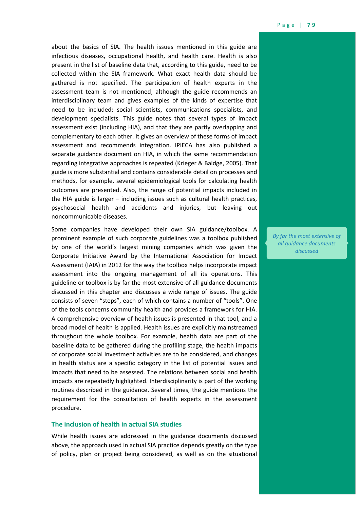about the basics of SIA. The health issues mentioned in this guide are infectious diseases, occupational health, and health care. Health is also present in the list of baseline data that, according to this guide, need to be collected within the SIA framework. What exact health data should be gathered is not specified. The participation of health experts in the assessment team is not mentioned; although the guide recommends an interdisciplinary team and gives examples of the kinds of expertise that need to be included: social scientists, communications specialists, and development specialists. This guide notes that several types of impact assessment exist (including HIA), and that they are partly overlapping and complementary to each other. It gives an overview of these forms of impact assessment and recommends integration. IPIECA has also published a separate guidance document on HIA, in which the same recommendation regarding integrative approaches is repeated (Krieger & Baldge, 2005). That guide is more substantial and contains considerable detail on processes and methods, for example, several epidemiological tools for calculating health outcomes are presented. Also, the range of potential impacts included in the HIA guide is larger – including issues such as cultural health practices, psychosocial health and accidents and injuries, but leaving out noncommunicable diseases.

Some companies have developed their own SIA guidance/toolbox. A prominent example of such corporate guidelines was a toolbox published by one of the world's largest mining companies which was given the Corporate Initiative Award by the International Association for Impact Assessment (IAIA) in 2012 for the way the toolbox helps incorporate impact assessment into the ongoing management of all its operations. This guideline or toolbox is by far the most extensive of all guidance documents discussed in this chapter and discusses a wide range of issues. The guide consists of seven "steps", each of which contains a number of "tools". One of the tools concerns community health and provides a framework for HIA. A comprehensive overview of health issues is presented in that tool, and a broad model of health is applied. Health issues are explicitly mainstreamed throughout the whole toolbox. For example, health data are part of the baseline data to be gathered during the profiling stage, the health impacts of corporate social investment activities are to be considered, and changes in health status are a specific category in the list of potential issues and impacts that need to be assessed. The relations between social and health impacts are repeatedly highlighted. Interdisciplinarity is part of the working routines described in the guidance. Several times, the guide mentions the requirement for the consultation of health experts in the assessment procedure.

# **The inclusion of health in actual SIA studies**

While health issues are addressed in the guidance documents discussed above, the approach used in actual SIA practice depends greatly on the type of policy, plan or project being considered, as well as on the situational *By far the most extensive of all guidance documents discussed*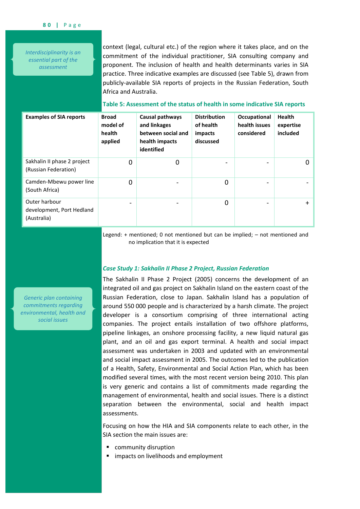*Interdisciplinarity is an essential part of the assessment*

context (legal, cultural etc.) of the region where it takes place, and on the commitment of the individual practitioner, SIA consulting company and proponent. The inclusion of health and health determinants varies in SIA practice. Three indicative examples are discussed (see [Table 5\)](#page-12-0), drawn from publicly-available SIA reports of projects in the Russian Federation, South Africa and Australia.

| <b>Examples of SIA reports</b>                            | <b>Broad</b><br>model of<br>health<br>applied | Causal pathways<br>and linkages<br>between social and<br>health impacts<br>identified | <b>Distribution</b><br>of health<br>impacts<br>discussed | Occupational<br>health issues<br>considered | <b>Health</b><br>expertise<br>included |
|-----------------------------------------------------------|-----------------------------------------------|---------------------------------------------------------------------------------------|----------------------------------------------------------|---------------------------------------------|----------------------------------------|
| Sakhalin II phase 2 project<br>(Russian Federation)       | 0                                             | 0                                                                                     | -                                                        |                                             | $\Omega$                               |
| Camden-Mbewu power line<br>(South Africa)                 | $\Omega$                                      |                                                                                       | 0                                                        |                                             |                                        |
| Outer harbour<br>development, Port Hedland<br>(Australia) | $\overline{\phantom{0}}$                      |                                                                                       | 0                                                        |                                             | ╇                                      |

# <span id="page-12-0"></span>**Table 5: Assessment of the status of health in some indicative SIA reports**

Legend: + mentioned; 0 not mentioned but can be implied; – not mentioned and no implication that it is expected

# *Case Study 1: Sakhalin II Phase 2 Project, Russian Federation*

The Sakhalin II Phase 2 Project (2005) concerns the development of an integrated oil and gas project on Sakhalin Island on the eastern coast of the Russian Federation, close to Japan. Sakhalin Island has a population of around 550 000 people and is characterized by a harsh climate. The project developer is a consortium comprising of three international acting companies. The project entails installation of two offshore platforms, pipeline linkages, an onshore processing facility, a new liquid natural gas plant, and an oil and gas export terminal. A health and social impact assessment was undertaken in 2003 and updated with an environmental and social impact assessment in 2005. The outcomes led to the publication of a Health, Safety, Environmental and Social Action Plan, which has been modified several times, with the most recent version being 2010. This plan is very generic and contains a list of commitments made regarding the management of environmental, health and social issues. There is a distinct separation between the environmental, social and health impact assessments.

Focusing on how the HIA and SIA components relate to each other, in the SIA section the main issues are:

- **•** community disruption
- **F** impacts on livelihoods and employment

*Generic plan containing commitments regarding environmental, health and social issues*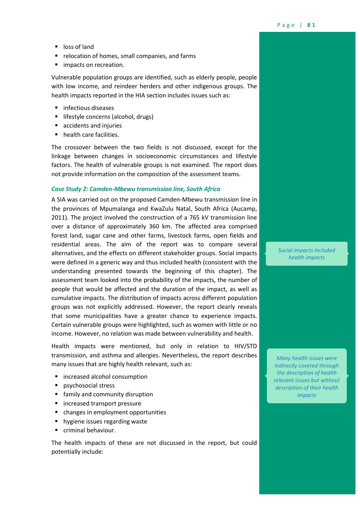- loss of land
- **P** relocation of homes, small companies, and farms
- **I** impacts on recreation.

Vulnerable population groups are identified, such as elderly people, people with low income, and reindeer herders and other indigenous groups. The health impacts reported in the HIA section includes issues such as:

- infectious diseases
- **In lifestyle concerns (alcohol, drugs)**
- accidents and injuries
- health care facilities.

The crossover between the two fields is not discussed, except for the linkage between changes in socioeconomic circumstances and lifestyle factors. The health of vulnerable groups is not examined. The report does not provide information on the composition of the assessment teams.

# *Case Study 2: Camden-Mbewu transmission line, South Africa*

A SIA was carried out on the proposed Camden-Mbewu transmission line in the provinces of Mpumalanga and KwaZulu Natal, South Africa (Aucamp, 2011). The project involved the construction of a 765 kV transmission line over a distance of approximately 360 km. The affected area comprised forest land, sugar cane and other farms, livestock farms, open fields and residential areas. The aim of the report was to compare several alternatives, and the effects on different stakeholder groups. Social impacts were defined in a generic way and thus included health (consistent with the understanding presented towards the beginning of this chapter). The assessment team looked into the probability of the impacts, the number of people that would be affected and the duration of the impact, as well as cumulative impacts. The distribution of impacts across different population groups was not explicitly addressed. However, the report clearly reveals that some municipalities have a greater chance to experience impacts. Certain vulnerable groups were highlighted, such as women with little or no income. However, no relation was made between vulnerability and health.

Health impacts were mentioned, but only in relation to HIV/STD transmission, and asthma and allergies. Nevertheless, the report describes many issues that are highly health relevant, such as:

- **E** increased alcohol consumption
- **psychosocial stress**
- **family and community disruption**
- **n** increased transport pressure
- **•** changes in employment opportunities
- **hygiene issues regarding waste**
- **Criminal behaviour.**

The health impacts of these are not discussed in the report, but could potentially include:

*Social impacts included health impacts*

*Many health issues were indirectly covered through the description of health relevant issues but without description of their health impacts*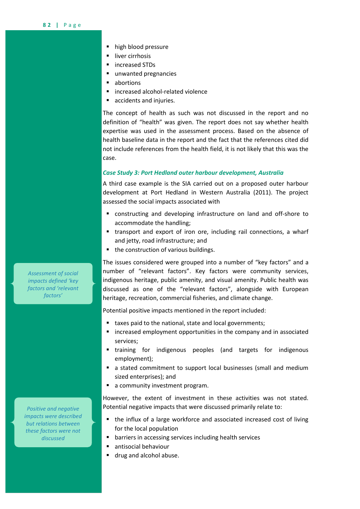- high blood pressure
- **I** liver cirrhosis
- increased STDs
- unwanted pregnancies
- abortions
- increased alcohol-related violence
- accidents and injuries.

The concept of health as such was not discussed in the report and no definition of "health" was given. The report does not say whether health expertise was used in the assessment process. Based on the absence of health baseline data in the report and the fact that the references cited did not include references from the health field, it is not likely that this was the case.

#### *Case Study 3: Port Hedland outer harbour development, Australia*

A third case example is the SIA carried out on a proposed outer harbour development at Port Hedland in Western Australia (2011). The project assessed the social impacts associated with

- constructing and developing infrastructure on land and off-shore to accommodate the handling;
- transport and export of iron ore, including rail connections, a wharf and jetty, road infrastructure; and
- the construction of various buildings.

The issues considered were grouped into a number of "key factors" and a number of "relevant factors". Key factors were community services, indigenous heritage, public amenity, and visual amenity. Public health was discussed as one of the "relevant factors", alongside with European heritage, recreation, commercial fisheries, and climate change.

Potential positive impacts mentioned in the report included:

- taxes paid to the national, state and local governments;
- increased employment opportunities in the company and in associated services;
- training for indigenous peoples (and targets for indigenous employment);
- a stated commitment to support local businesses (small and medium sized enterprises); and
- a community investment program.

However, the extent of investment in these activities was not stated. Potential negative impacts that were discussed primarily relate to:

- the influx of a large workforce and associated increased cost of living for the local population
- **•** barriers in accessing services including health services
- antisocial behaviour
- **drug and alcohol abuse.**

*Assessment of social impacts defined 'key factors and 'relevant factors'*

*Positive and negative impacts were described but relations between these factors were not discussed*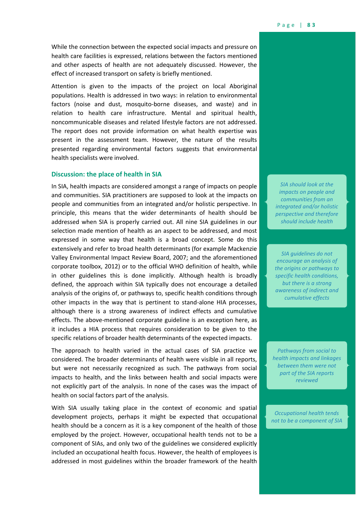While the connection between the expected social impacts and pressure on health care facilities is expressed, relations between the factors mentioned and other aspects of health are not adequately discussed. However, the effect of increased transport on safety is briefly mentioned.

Attention is given to the impacts of the project on local Aboriginal populations. Health is addressed in two ways: in relation to environmental factors (noise and dust, mosquito-borne diseases, and waste) and in relation to health care infrastructure. Mental and spiritual health, noncommunicable diseases and related lifestyle factors are not addressed. The report does not provide information on what health expertise was present in the assessment team. However, the nature of the results presented regarding environmental factors suggests that environmental health specialists were involved.

## **Discussion: the place of health in SIA**

In SIA, health impacts are considered amongst a range of impacts on people and communities. SIA practitioners are supposed to look at the impacts on people and communities from an integrated and/or holistic perspective. In principle, this means that the wider determinants of health should be addressed when SIA is properly carried out. All nine SIA guidelines in our selection made mention of health as an aspect to be addressed, and most expressed in some way that health is a broad concept. Some do this extensively and refer to broad health determinants (for example Mackenzie Valley Environmental Impact Review Board, 2007; and the aforementioned corporate toolbox, 2012) or to the official WHO definition of health, while in other guidelines this is done implicitly. Although health is broadly defined, the approach within SIA typically does not encourage a detailed analysis of the origins of, or pathways to, specific health conditions through other impacts in the way that is pertinent to stand-alone HIA processes, although there is a strong awareness of indirect effects and cumulative effects. The above-mentioned corporate guideline is an exception here, as it includes a HIA process that requires consideration to be given to the specific relations of broader health determinants of the expected impacts.

The approach to health varied in the actual cases of SIA practice we considered. The broader determinants of health were visible in all reports, but were not necessarily recognized as such. The pathways from social impacts to health, and the links between health and social impacts were not explicitly part of the analysis. In none of the cases was the impact of health on social factors part of the analysis.

With SIA usually taking place in the context of economic and spatial development projects, perhaps it might be expected that occupational health should be a concern as it is a key component of the health of those employed by the project. However, occupational health tends not to be a component of SIAs, and only two of the guidelines we considered explicitly included an occupational health focus. However, the health of employees is addressed in most guidelines within the broader framework of the health

*SIA should look at the impacts on people and communities from an integrated and/or holistic perspective and therefore should include health*

*SIA guidelines do not encourage an analysis of the origins or pathways to specific health conditions, but there is a strong awareness of indirect and cumulative effects*

*Pathways from social to health impacts and linkages between them were not part of the SIA reports reviewed*

*Occupational health tends not to be a component of SIA*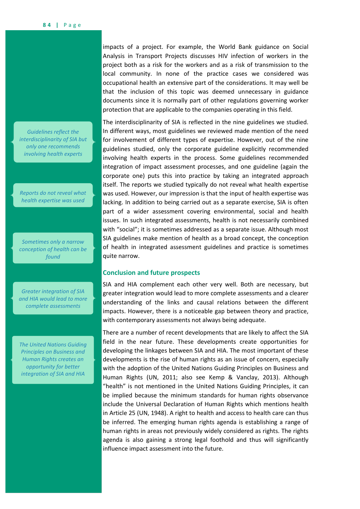*Guidelines reflect the interdisciplinarity of SIA but only one recommends involving health experts*

*Reports do not reveal what health expertise was used*

*Sometimes only a narrow conception of health can be found*

*Greater integration of SIA and HIA would lead to more complete assessments*

*The United Nations Guiding Principles on Business and Human Rights creates an opportunity for better integration of SIA and HIA*

impacts of a project. For example, the World Bank guidance on Social Analysis in Transport Projects discusses HIV infection of workers in the project both as a risk for the workers and as a risk of transmission to the local community. In none of the practice cases we considered was occupational health an extensive part of the considerations. It may well be that the inclusion of this topic was deemed unnecessary in guidance documents since it is normally part of other regulations governing worker protection that are applicable to the companies operating in this field.

The interdisciplinarity of SIA is reflected in the nine guidelines we studied. In different ways, most guidelines we reviewed made mention of the need for involvement of different types of expertise. However, out of the nine guidelines studied, only the corporate guideline explicitly recommended involving health experts in the process. Some guidelines recommended integration of impact assessment processes, and one guideline (again the corporate one) puts this into practice by taking an integrated approach itself. The reports we studied typically do not reveal what health expertise was used. However, our impression is that the input of health expertise was lacking. In addition to being carried out as a separate exercise, SIA is often part of a wider assessment covering environmental, social and health issues. In such integrated assessments, health is not necessarily combined with "social"; it is sometimes addressed as a separate issue. Although most SIA guidelines make mention of health as a broad concept, the conception of health in integrated assessment guidelines and practice is sometimes quite narrow.

# **Conclusion and future prospects**

SIA and HIA complement each other very well. Both are necessary, but greater integration would lead to more complete assessments and a clearer understanding of the links and causal relations between the different impacts. However, there is a noticeable gap between theory and practice, with contemporary assessments not always being adequate.

There are a number of recent developments that are likely to affect the SIA field in the near future. These developments create opportunities for developing the linkages between SIA and HIA. The most important of these developments is the rise of human rights as an issue of concern, especially with the adoption of the United Nations Guiding Principles on Business and Human Rights (UN, 2011; also see Kemp & Vanclay, 2013). Although "health" is not mentioned in the United Nations Guiding Principles, it can be implied because the minimum standards for human rights observance include the Universal Declaration of Human Rights which mentions health in Article 25 (UN, 1948). A right to health and access to health care can thus be inferred. The emerging human rights agenda is establishing a range of human rights in areas not previously widely considered as rights. The rights agenda is also gaining a strong legal foothold and thus will significantly influence impact assessment into the future.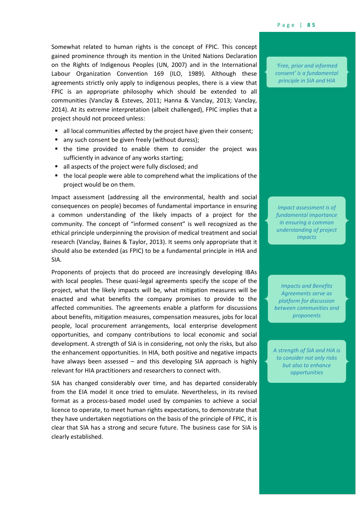Somewhat related to human rights is the concept of FPIC. This concept gained prominence through its mention in the United Nations Declaration on the Rights of Indigenous Peoples (UN, 2007) and in the International Labour Organization Convention 169 (ILO, 1989). Although these agreements strictly only apply to indigenous peoples, there is a view that FPIC is an appropriate philosophy which should be extended to all communities (Vanclay & Esteves, 2011; Hanna & Vanclay, 2013; Vanclay, 2014). At its extreme interpretation (albeit challenged), FPIC implies that a project should not proceed unless:

- all local communities affected by the project have given their consent;
- any such consent be given freely (without duress);
- the time provided to enable them to consider the project was sufficiently in advance of any works starting;
- all aspects of the project were fully disclosed; and
- the local people were able to comprehend what the implications of the project would be on them.

Impact assessment (addressing all the environmental, health and social consequences on people) becomes of fundamental importance in ensuring a common understanding of the likely impacts of a project for the community. The concept of "informed consent" is well recognized as the ethical principle underpinning the provision of medical treatment and social research (Vanclay, Baines & Taylor, 2013). It seems only appropriate that it should also be extended (as FPIC) to be a fundamental principle in HIA and SIA.

Proponents of projects that do proceed are increasingly developing IBAs with local peoples. These quasi-legal agreements specify the scope of the project, what the likely impacts will be, what mitigation measures will be enacted and what benefits the company promises to provide to the affected communities. The agreements enable a platform for discussions about benefits, mitigation measures, compensation measures, jobs for local people, local procurement arrangements, local enterprise development opportunities, and company contributions to local economic and social development. A strength of SIA is in considering, not only the risks, but also the enhancement opportunities. In HIA, both positive and negative impacts have always been assessed – and this developing SIA approach is highly relevant for HIA practitioners and researchers to connect with.

SIA has changed considerably over time, and has departed considerably from the EIA model it once tried to emulate. Nevertheless, in its revised format as a process-based model used by companies to achieve a social licence to operate, to meet human rights expectations, to demonstrate that they have undertaken negotiations on the basis of the principle of FPIC, it is clear that SIA has a strong and secure future. The business case for SIA is clearly established.

*'Free, prior and informed consent' is a fundamental principle in SIA and HIA*

*Impact assessment is of fundamental importance in ensuring a common understanding of project impacts*

*Impacts and Benefits Agreements serve as platform for discussion between communities and proponents*

*A strength of SIA and HIA is to consider not only risks but also to enhance opportunities*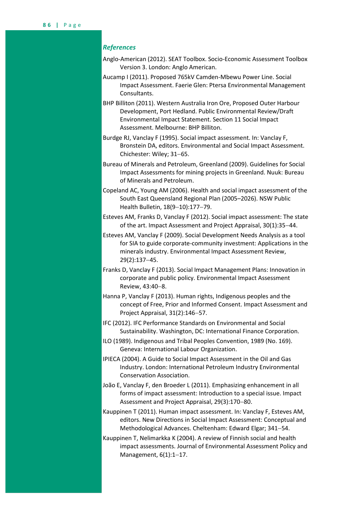# *References*

- Anglo-American (2012). SEAT Toolbox. Socio-Economic Assessment Toolbox Version 3. London: Anglo American.
- Aucamp I (2011). Proposed 765kV Camden-Mbewu Power Line. Social Impact Assessment. Faerie Glen: Ptersa Environmental Management Consultants.
- BHP Billiton (2011). Western Australia Iron Ore, Proposed Outer Harbour Development, Port Hedland. Public Environmental Review/Draft Environmental Impact Statement. Section 11 Social Impact Assessment. Melbourne: BHP Billiton.
- Burdge RJ, Vanclay F (1995). Social impact assessment. In: Vanclay F, Bronstein DA, editors. Environmental and Social Impact Assessment. Chichester: Wiley; 31-65.
- Bureau of Minerals and Petroleum, Greenland (2009). Guidelines for Social Impact Assessments for mining projects in Greenland. Nuuk: Bureau of Minerals and Petroleum.
- Copeland AC, Young AM (2006). Health and social impact assessment of the South East Queensland Regional Plan (2005–2026). NSW Public Health Bulletin, 18(9-10):177-79.
- Esteves AM, Franks D, Vanclay F (2012). Social impact assessment: The state of the art. Impact Assessment and Project Appraisal, 30(1):3544.
- Esteves AM, Vanclay F (2009). Social Development Needs Analysis as a tool for SIA to guide corporate-community investment: Applications in the minerals industry. Environmental Impact Assessment Review, 29(2):137-45.
- Franks D, Vanclay F (2013). Social Impact Management Plans: Innovation in corporate and public policy. Environmental Impact Assessment Review, 43:40-8.
- Hanna P, Vanclay F (2013). Human rights, Indigenous peoples and the concept of Free, Prior and Informed Consent. Impact Assessment and Project Appraisal, 31(2):146-57.
- IFC (2012). IFC Performance Standards on Environmental and Social Sustainability. Washington, DC: International Finance Corporation.
- ILO (1989). Indigenous and Tribal Peoples Convention, 1989 (No. 169). Geneva: International Labour Organization.
- IPIECA (2004). A Guide to Social Impact Assessment in the Oil and Gas Industry. London: International Petroleum Industry Environmental Conservation Association.
- João E, Vanclay F, den Broeder L (2011). Emphasizing enhancement in all forms of impact assessment: Introduction to a special issue. Impact Assessment and Project Appraisal, 29(3):170-80.
- Kauppinen T (2011). Human impact assessment. In: Vanclay F, Esteves AM, editors. New Directions in Social Impact Assessment: Conceptual and Methodological Advances. Cheltenham: Edward Elgar; 341-54.
- Kauppinen T, Nelimarkka K (2004). A review of Finnish social and health impact assessments. Journal of Environmental Assessment Policy and Management,  $6(1):1-17$ .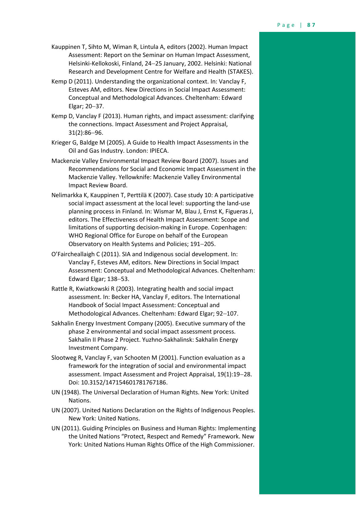- Kauppinen T, Sihto M, Wiman R, Lintula A, editors (2002). Human Impact Assessment: Report on the Seminar on Human Impact Assessment, Helsinki-Kellokoski, Finland, 24-25 January, 2002. Helsinki: National Research and Development Centre for Welfare and Health (STAKES).
- Kemp D (2011). Understanding the organizational context. In: Vanclay F, Esteves AM, editors. New Directions in Social Impact Assessment: Conceptual and Methodological Advances. Cheltenham: Edward Elgar; 20-37.
- Kemp D, Vanclay F (2013). Human rights, and impact assessment: clarifying the connections. Impact Assessment and Project Appraisal,  $31(2):86-96.$
- Krieger G, Baldge M (2005). A Guide to Health Impact Assessments in the Oil and Gas Industry. London: IPIECA.
- Mackenzie Valley Environmental Impact Review Board (2007). Issues and Recommendations for Social and Economic Impact Assessment in the Mackenzie Valley. Yellowknife: Mackenzie Valley Environmental Impact Review Board.
- Nelimarkka K, Kauppinen T, Perttilä K (2007). Case study 10: A participative social impact assessment at the local level: supporting the land-use planning process in Finland. In: Wismar M, Blau J, Ernst K, Figueras J, editors. The Effectiveness of Health Impact Assessment: Scope and limitations of supporting decision-making in Europe. Copenhagen: WHO Regional Office for Europe on behalf of the European Observatory on Health Systems and Policies; 191-205.
- O'Faircheallaigh C (2011). SIA and Indigenous social development. In: Vanclay F, Esteves AM, editors. New Directions in Social Impact Assessment: Conceptual and Methodological Advances. Cheltenham: Edward Elgar; 138-53.
- Rattle R, Kwiatkowski R (2003). Integrating health and social impact assessment. In: Becker HA, Vanclay F, editors. The International Handbook of Social Impact Assessment: Conceptual and Methodological Advances. Cheltenham: Edward Elgar; 92-107.
- Sakhalin Energy Investment Company (2005). Executive summary of the phase 2 environmental and social impact assessment process. Sakhalin II Phase 2 Project. Yuzhno-Sakhalinsk: Sakhalin Energy Investment Company.
- Slootweg R, Vanclay F, van Schooten M (2001). Function evaluation as a framework for the integration of social and environmental impact assessment. Impact Assessment and Project Appraisal, 19(1):19-28. Doi: 10.3152/147154601781767186.
- UN (1948). The Universal Declaration of Human Rights. New York: United Nations.
- UN (2007). United Nations Declaration on the Rights of Indigenous Peoples. New York: United Nations.
- UN (2011). Guiding Principles on Business and Human Rights: Implementing the United Nations "Protect, Respect and Remedy" Framework. New York: United Nations Human Rights Office of the High Commissioner.